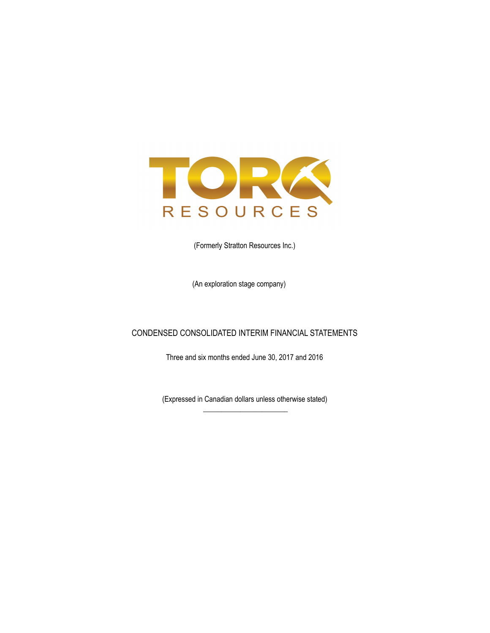

(Formerly Stratton Resources Inc.)

(An exploration stage company)

## CONDENSED CONSOLIDATED INTERIM FINANCIAL STATEMENTS

Three and six months ended June 30, 2017 and 2016

(Expressed in Canadian dollars unless otherwise stated)  $\overline{\phantom{a}}$  , where the contract of the contract of the contract of the contract of the contract of the contract of the contract of the contract of the contract of the contract of the contract of the contract of the contr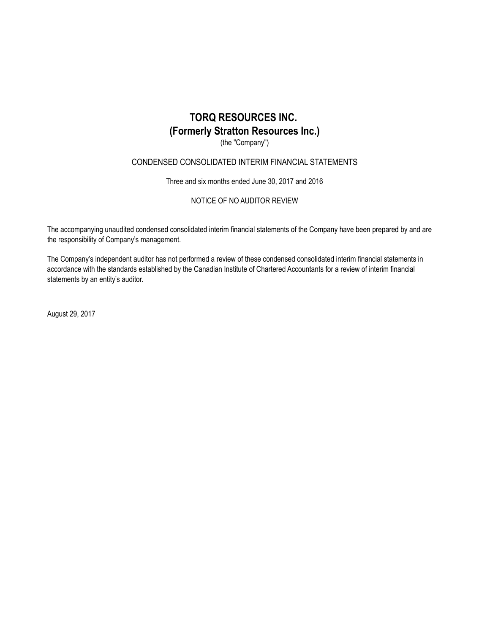(the "Company")

## CONDENSED CONSOLIDATED INTERIM FINANCIAL STATEMENTS

Three and six months ended June 30, 2017 and 2016

NOTICE OF NO AUDITOR REVIEW

The accompanying unaudited condensed consolidated interim financial statements of the Company have been prepared by and are the responsibility of Company's management.

The Company's independent auditor has not performed a review of these condensed consolidated interim financial statements in accordance with the standards established by the Canadian Institute of Chartered Accountants for a review of interim financial statements by an entity's auditor.

August 29, 2017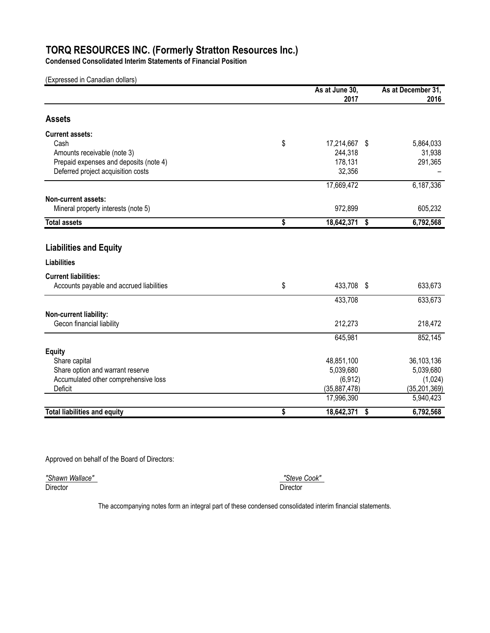**Condensed Consolidated Interim Statements of Financial Position**

(Expressed in Canadian dollars)

|                                          | As at June 30,      | As at December 31, |
|------------------------------------------|---------------------|--------------------|
|                                          | 2017                | 2016               |
| <b>Assets</b>                            |                     |                    |
| <b>Current assets:</b>                   |                     |                    |
| Cash                                     | \$<br>17,214,667 \$ | 5,864,033          |
| Amounts receivable (note 3)              | 244,318             | 31,938             |
| Prepaid expenses and deposits (note 4)   | 178,131             | 291,365            |
| Deferred project acquisition costs       | 32,356              |                    |
|                                          | 17,669,472          | 6,187,336          |
| Non-current assets:                      |                     |                    |
| Mineral property interests (note 5)      | 972,899             | 605,232            |
| <b>Total assets</b>                      | \$<br>18,642,371    | \$<br>6,792,568    |
|                                          |                     |                    |
| <b>Liabilities and Equity</b>            |                     |                    |
| <b>Liabilities</b>                       |                     |                    |
| <b>Current liabilities:</b>              |                     |                    |
| Accounts payable and accrued liabilities | \$<br>433,708 \$    | 633,673            |
|                                          | 433,708             | 633,673            |
| Non-current liability:                   |                     |                    |
| Gecon financial liability                | 212,273             | 218,472            |
|                                          | 645,981             | 852,145            |
| <b>Equity</b>                            |                     |                    |
| Share capital                            | 48,851,100          | 36,103,136         |
| Share option and warrant reserve         | 5,039,680           | 5,039,680          |
| Accumulated other comprehensive loss     | (6, 912)            | (1,024)            |
| Deficit                                  | (35,887,478)        | (35, 201, 369)     |
|                                          | 17,996,390          | 5,940,423          |
| <b>Total liabilities and equity</b>      | \$<br>18,642,371    | \$<br>6,792,568    |

Approved on behalf of the Board of Directors:

*"Shawn Wallace" "Steve Cook"*  Director Director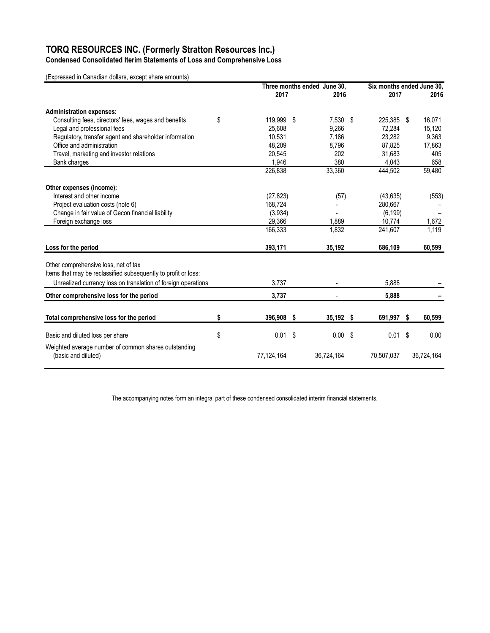**Condensed Consolidated Iterim Statements of Loss and Comprehensive Loss**

(Expressed in Canadian dollars, except share amounts)

|                                                                                                                                                                         | Three months ended June 30, |  |             | Six months ended June 30, |  |            |
|-------------------------------------------------------------------------------------------------------------------------------------------------------------------------|-----------------------------|--|-------------|---------------------------|--|------------|
|                                                                                                                                                                         | 2017                        |  | 2016        | 2017                      |  | 2016       |
| <b>Administration expenses:</b>                                                                                                                                         |                             |  |             |                           |  |            |
| Consulting fees, directors' fees, wages and benefits                                                                                                                    | \$<br>119,999 \$            |  | 7,530 \$    | 225,385 \$                |  | 16,071     |
| Legal and professional fees                                                                                                                                             | 25,608                      |  | 9,266       | 72,284                    |  | 15,120     |
| Regulatory, transfer agent and shareholder information                                                                                                                  | 10,531                      |  | 7,186       | 23,282                    |  | 9,363      |
| Office and administration                                                                                                                                               | 48,209                      |  | 8,796       | 87,825                    |  | 17,863     |
| Travel, marketing and investor relations                                                                                                                                | 20,545                      |  | 202         | 31,683                    |  | 405        |
| Bank charges                                                                                                                                                            | 1,946                       |  | 380         | 4,043                     |  | 658        |
|                                                                                                                                                                         | 226,838                     |  | 33,360      | 444,502                   |  | 59,480     |
| Other expenses (income):                                                                                                                                                |                             |  |             |                           |  |            |
| Interest and other income                                                                                                                                               | (27, 823)                   |  | (57)        | (43, 635)                 |  | (553)      |
| Project evaluation costs (note 6)                                                                                                                                       | 168.724                     |  |             | 280.667                   |  |            |
| Change in fair value of Gecon financial liability                                                                                                                       | (3,934)                     |  |             | (6, 199)                  |  |            |
| Foreign exchange loss                                                                                                                                                   | 29,366                      |  | 1,889       | 10,774                    |  | 1,672      |
|                                                                                                                                                                         | 166,333                     |  | 1,832       | 241,607                   |  | 1,119      |
| Loss for the period                                                                                                                                                     | 393,171                     |  | 35,192      | 686,109                   |  | 60,599     |
| Other comprehensive loss, net of tax<br>Items that may be reclassified subsequently to profit or loss:<br>Unrealized currency loss on translation of foreign operations | 3,737                       |  |             | 5.888                     |  |            |
|                                                                                                                                                                         |                             |  |             |                           |  |            |
| Other comprehensive loss for the period                                                                                                                                 | 3,737                       |  |             | 5,888                     |  |            |
| Total comprehensive loss for the period                                                                                                                                 | \$<br>396,908 \$            |  | $35,192$ \$ | 691,997 \$                |  | 60,599     |
| Basic and diluted loss per share                                                                                                                                        | \$<br>$0.01$ \$             |  | 0.00<br>-\$ | $0.01$ \$                 |  | 0.00       |
| Weighted average number of common shares outstanding<br>(basic and diluted)                                                                                             | 77,124,164                  |  | 36,724,164  | 70,507,037                |  | 36,724,164 |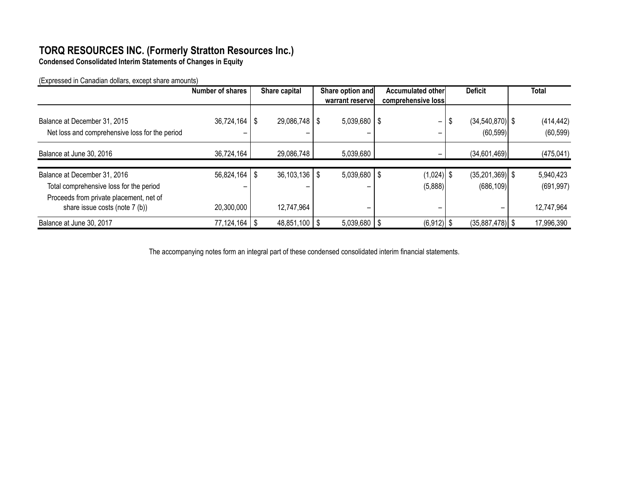**Condensed Consolidated Interim Statements of Changes in Equity**

(Expressed in Canadian dollars, except share amounts)

|                                                                                | <b>Number of shares</b> | Share capital     | Share option and      | Accumulated other  | <b>Deficit</b>                           | <b>Total</b>            |
|--------------------------------------------------------------------------------|-------------------------|-------------------|-----------------------|--------------------|------------------------------------------|-------------------------|
|                                                                                |                         |                   | warrant reservel      | comprehensive loss |                                          |                         |
| Balance at December 31, 2015<br>Net loss and comprehensive loss for the period | $36,724,164$   \$       | $29,086,748$   \$ | $5,039,680$   \$<br>- | -<br>-             | $(34, 540, 870)$ \$<br>- \$<br>(60, 599) | (414, 442)<br>(60, 599) |
| Balance at June 30, 2016                                                       | 36,724,164              | 29,086,748        | 5,039,680             |                    | (34,601,469)                             | (475, 041)              |
| Balance at December 31, 2016                                                   | $56,824,164$ \ \$       | $36,103,136$   \$ | $5,039,680$   \$      | $(1,024)$ \$       | $(35,201,369)$ \$                        | 5,940,423               |
| Total comprehensive loss for the period                                        |                         |                   |                       | (5,888)            | (686, 109)                               | (691, 997)              |
| Proceeds from private placement, net of<br>share issue costs (note 7 (b))      | 20,300,000              | 12,747,964        | -                     | -                  |                                          | 12,747,964              |
| Balance at June 30, 2017                                                       | $77,124,164$   \$       | $48,851,100$   \$ | $5,039,680$   \$      | $(6,912)$ \$       | $(35,887,478)$ \$                        | 17,996,390              |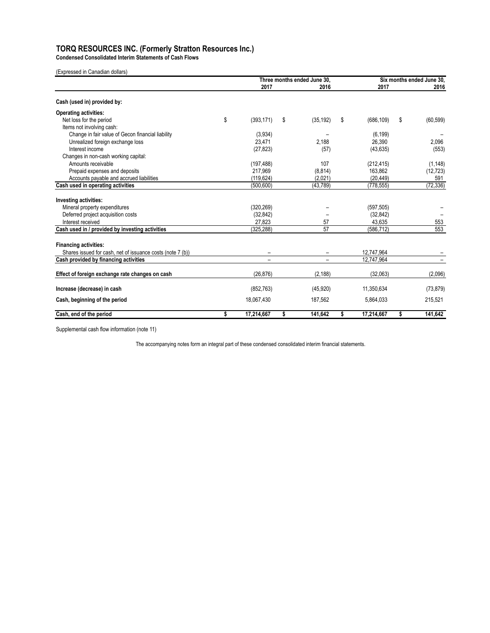**Condensed Consolidated Interim Statements of Cash Flows**

| (Expressed in Canadian dollars) |  |
|---------------------------------|--|
|---------------------------------|--|

|                                                            | Three months ended June 30. |    |                 | Six months ended June 30. |    |           |
|------------------------------------------------------------|-----------------------------|----|-----------------|---------------------------|----|-----------|
|                                                            | 2017                        |    | 2016            | 2017                      |    | 2016      |
| Cash (used in) provided by:                                |                             |    |                 |                           |    |           |
| <b>Operating activities:</b>                               |                             |    |                 |                           |    |           |
| Net loss for the period                                    | \$<br>(393, 171)            | \$ | (35, 192)       | \$<br>(686, 109)          | \$ | (60, 599) |
| Items not involving cash:                                  |                             |    |                 |                           |    |           |
| Change in fair value of Gecon financial liability          | (3,934)                     |    |                 | (6, 199)                  |    |           |
| Unrealized foreign exchange loss                           | 23.471                      |    | 2.188           | 26,390                    |    | 2,096     |
| Interest income                                            | (27, 823)                   |    | (57)            | (43, 635)                 |    | (553)     |
| Changes in non-cash working capital:                       |                             |    |                 |                           |    |           |
| Amounts receivable                                         | (197, 488)                  |    | 107             | (212, 415)                |    | (1, 148)  |
| Prepaid expenses and deposits                              | 217,969                     |    | (8, 814)        | 163,862                   |    | (12, 723) |
| Accounts payable and accrued liabilities                   | (119, 624)                  |    | (2,021)         | (20, 449)                 |    | 591       |
| Cash used in operating activities                          | (500, 600)                  |    | (43, 789)       | (778, 555)                |    | (72, 336) |
| Investing activities:                                      |                             |    |                 |                           |    |           |
| Mineral property expenditures                              | (320, 269)                  |    |                 | (597, 505)                |    |           |
| Deferred project acquisition costs                         | (32, 842)                   |    |                 | (32, 842)                 |    |           |
| Interest received                                          | 27,823                      |    | 57              | 43,635                    |    | 553       |
| Cash used in / provided by investing activities            | (325, 288)                  |    | $\overline{57}$ | (586, 712)                |    | 553       |
| <b>Financing activities:</b>                               |                             |    |                 |                           |    |           |
| Shares issued for cash, net of issuance costs (note 7 (b)) |                             |    |                 | 12,747,964                |    |           |
| Cash provided by financing activities                      |                             |    |                 | 12,747,964                |    |           |
| Effect of foreign exchange rate changes on cash            | (26.876)                    |    | (2.188)         | (32.063)                  |    | (2,096)   |
| Increase (decrease) in cash                                | (852, 763)                  |    | (45, 920)       | 11,350,634                |    | (73, 879) |
| Cash, beginning of the period                              | 18.067.430                  |    | 187,562         | 5,864,033                 |    | 215,521   |
| Cash, end of the period                                    | \$<br>17,214,667            | \$ | 141,642         | \$<br>17,214,667          | \$ | 141,642   |

Supplemental cash flow information (note 11)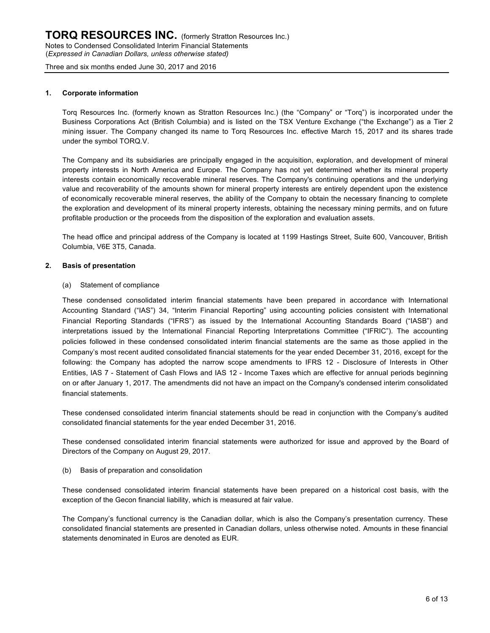#### **1. Corporate information**

Torq Resources Inc. (formerly known as Stratton Resources Inc.) (the "Company" or "Torq") is incorporated under the Business Corporations Act (British Columbia) and is listed on the TSX Venture Exchange ("the Exchange") as a Tier 2 mining issuer. The Company changed its name to Torq Resources Inc. effective March 15, 2017 and its shares trade under the symbol TORQ.V.

The Company and its subsidiaries are principally engaged in the acquisition, exploration, and development of mineral property interests in North America and Europe. The Company has not yet determined whether its mineral property interests contain economically recoverable mineral reserves. The Company's continuing operations and the underlying value and recoverability of the amounts shown for mineral property interests are entirely dependent upon the existence of economically recoverable mineral reserves, the ability of the Company to obtain the necessary financing to complete the exploration and development of its mineral property interests, obtaining the necessary mining permits, and on future profitable production or the proceeds from the disposition of the exploration and evaluation assets.

The head office and principal address of the Company is located at 1199 Hastings Street, Suite 600, Vancouver, British Columbia, V6E 3T5, Canada.

### **2. Basis of presentation**

#### (a) Statement of compliance

These condensed consolidated interim financial statements have been prepared in accordance with International Accounting Standard ("IAS") 34, "Interim Financial Reporting" using accounting policies consistent with International Financial Reporting Standards ("IFRS") as issued by the International Accounting Standards Board ("IASB") and interpretations issued by the International Financial Reporting Interpretations Committee ("IFRIC"). The accounting policies followed in these condensed consolidated interim financial statements are the same as those applied in the Company's most recent audited consolidated financial statements for the year ended December 31, 2016, except for the following: the Company has adopted the narrow scope amendments to IFRS 12 - Disclosure of Interests in Other Entities, IAS 7 - Statement of Cash Flows and IAS 12 - Income Taxes which are effective for annual periods beginning on or after January 1, 2017. The amendments did not have an impact on the Company's condensed interim consolidated financial statements.

These condensed consolidated interim financial statements should be read in conjunction with the Company's audited consolidated financial statements for the year ended December 31, 2016.

These condensed consolidated interim financial statements were authorized for issue and approved by the Board of Directors of the Company on August 29, 2017.

(b) Basis of preparation and consolidation

These condensed consolidated interim financial statements have been prepared on a historical cost basis, with the exception of the Gecon financial liability, which is measured at fair value.

The Company's functional currency is the Canadian dollar, which is also the Company's presentation currency. These consolidated financial statements are presented in Canadian dollars, unless otherwise noted. Amounts in these financial statements denominated in Euros are denoted as EUR.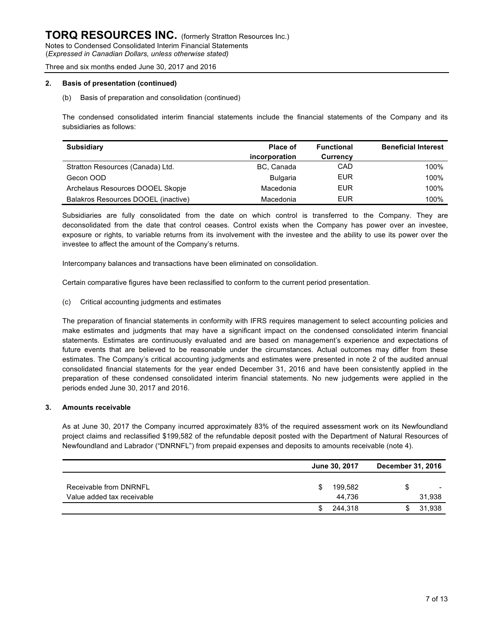#### **2. Basis of presentation (continued)**

#### (b) Basis of preparation and consolidation (continued)

The condensed consolidated interim financial statements include the financial statements of the Company and its subsidiaries as follows:

| <b>Subsidiary</b>                   | Place of        | <b>Functional</b> | <b>Beneficial Interest</b> |
|-------------------------------------|-----------------|-------------------|----------------------------|
|                                     | incorporation   | Currency          |                            |
| Stratton Resources (Canada) Ltd.    | BC, Canada      | CAD               | 100%                       |
| Gecon OOD                           | <b>Bulgaria</b> | EUR               | 100%                       |
| Archelaus Resources DOOEL Skopje    | Macedonia       | EUR               | 100%                       |
| Balakros Resources DOOEL (inactive) | Macedonia       | EUR               | 100%                       |

Subsidiaries are fully consolidated from the date on which control is transferred to the Company. They are deconsolidated from the date that control ceases. Control exists when the Company has power over an investee, exposure or rights, to variable returns from its involvement with the investee and the ability to use its power over the investee to affect the amount of the Company's returns.

Intercompany balances and transactions have been eliminated on consolidation.

Certain comparative figures have been reclassified to conform to the current period presentation.

(c) Critical accounting judgments and estimates

The preparation of financial statements in conformity with IFRS requires management to select accounting policies and make estimates and judgments that may have a significant impact on the condensed consolidated interim financial statements. Estimates are continuously evaluated and are based on management's experience and expectations of future events that are believed to be reasonable under the circumstances. Actual outcomes may differ from these estimates. The Company's critical accounting judgments and estimates were presented in note 2 of the audited annual consolidated financial statements for the year ended December 31, 2016 and have been consistently applied in the preparation of these condensed consolidated interim financial statements. No new judgements were applied in the periods ended June 30, 2017 and 2016.

#### **3. Amounts receivable**

As at June 30, 2017 the Company incurred approximately 83% of the required assessment work on its Newfoundland project claims and reclassified \$199,582 of the refundable deposit posted with the Department of Natural Resources of Newfoundland and Labrador ("DNRNFL") from prepaid expenses and deposits to amounts receivable (note 4).

|                            | June 30, 2017 | <b>December 31, 2016</b> |
|----------------------------|---------------|--------------------------|
| Receivable from DNRNFL     | 199.582<br>S  | $\overline{\phantom{a}}$ |
| Value added tax receivable | 44.736        | 31,938                   |
|                            | 244.318<br>S  | 31,938                   |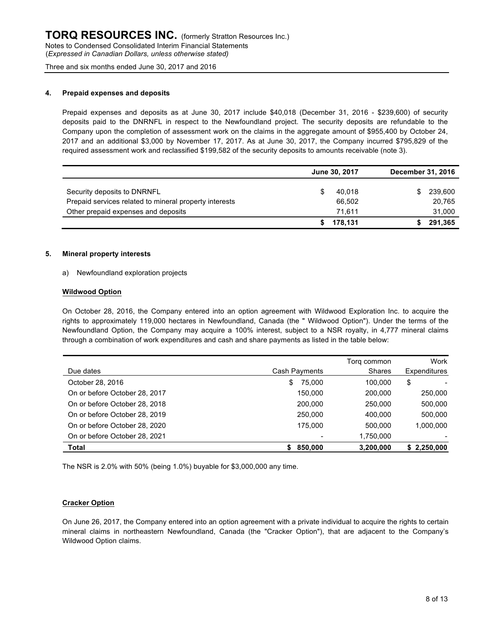#### **4. Prepaid expenses and deposits**

Prepaid expenses and deposits as at June 30, 2017 include \$40,018 (December 31, 2016 - \$239,600) of security deposits paid to the DNRNFL in respect to the Newfoundland project. The security deposits are refundable to the Company upon the completion of assessment work on the claims in the aggregate amount of \$955,400 by October 24, 2017 and an additional \$3,000 by November 17, 2017. As at June 30, 2017, the Company incurred \$795,829 of the required assessment work and reclassified \$199,582 of the security deposits to amounts receivable (note 3).

|                                                        | June 30, 2017 |         | December 31, 2016 |         |
|--------------------------------------------------------|---------------|---------|-------------------|---------|
|                                                        |               |         |                   |         |
| Security deposits to DNRNFL                            |               | 40.018  | \$                | 239,600 |
| Prepaid services related to mineral property interests |               | 66.502  |                   | 20.765  |
| Other prepaid expenses and deposits                    |               | 71.611  |                   | 31.000  |
|                                                        |               | 178.131 |                   | 291.365 |

#### **5. Mineral property interests**

a) Newfoundland exploration projects

#### **Wildwood Option**

On October 28, 2016, the Company entered into an option agreement with Wildwood Exploration Inc. to acquire the rights to approximately 119,000 hectares in Newfoundland, Canada (the " Wildwood Option"). Under the terms of the Newfoundland Option, the Company may acquire a 100% interest, subject to a NSR royalty, in 4,777 mineral claims through a combination of work expenditures and cash and share payments as listed in the table below:

|                               |               | Torg common   | Work         |
|-------------------------------|---------------|---------------|--------------|
| Due dates                     | Cash Payments | <b>Shares</b> | Expenditures |
| October 28, 2016              | 75.000<br>\$  | 100.000       | \$           |
| On or before October 28, 2017 | 150.000       | 200.000       | 250,000      |
| On or before October 28, 2018 | 200,000       | 250.000       | 500,000      |
| On or before October 28, 2019 | 250,000       | 400,000       | 500,000      |
| On or before October 28, 2020 | 175.000       | 500.000       | 1,000,000    |
| On or before October 28, 2021 |               | 1,750,000     |              |
| Total                         | 850,000       | 3,200,000     | \$2,250,000  |

The NSR is 2.0% with 50% (being 1.0%) buyable for \$3,000,000 any time.

#### **Cracker Option**

On June 26, 2017, the Company entered into an option agreement with a private individual to acquire the rights to certain mineral claims in northeastern Newfoundland, Canada (the "Cracker Option"), that are adjacent to the Company's Wildwood Option claims.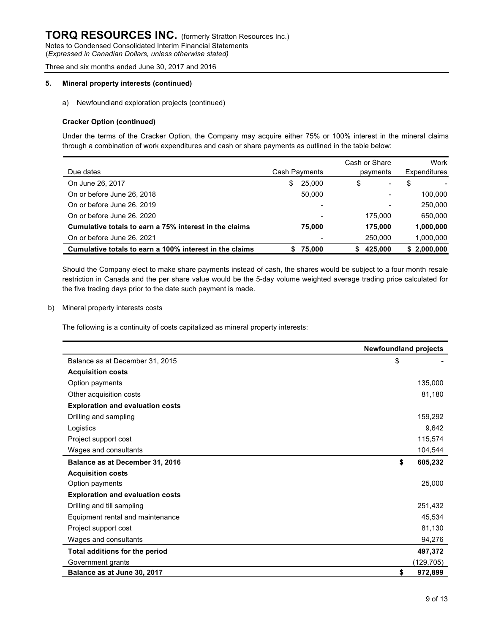(*Expressed in Canadian Dollars, unless otherwise stated)* Three and six months ended June 30, 2017 and 2016

## **5. Mineral property interests (continued)**

a) Newfoundland exploration projects (continued)

#### **Cracker Option (continued)**

Under the terms of the Cracker Option, the Company may acquire either 75% or 100% interest in the mineral claims through a combination of work expenditures and cash or share payments as outlined in the table below:

|                                                         |               |        | Cash or Share | Work         |
|---------------------------------------------------------|---------------|--------|---------------|--------------|
| Due dates                                               | Cash Payments |        | payments      | Expenditures |
| On June 26, 2017                                        | S.            | 25,000 | \$<br>-       | \$           |
| On or before June 26, 2018                              |               | 50.000 |               | 100,000      |
| On or before June 26, 2019                              |               |        |               | 250,000      |
| On or before June 26, 2020                              |               |        | 175,000       | 650,000      |
| Cumulative totals to earn a 75% interest in the claims  |               | 75.000 | 175.000       | 1,000,000    |
| On or before June 26, 2021                              |               |        | 250,000       | 1,000,000    |
| Cumulative totals to earn a 100% interest in the claims | S             | 75,000 | 425.000       | \$2,000,000  |

Should the Company elect to make share payments instead of cash, the shares would be subject to a four month resale restriction in Canada and the per share value would be the 5-day volume weighted average trading price calculated for the five trading days prior to the date such payment is made.

b) Mineral property interests costs

The following is a continuity of costs capitalized as mineral property interests:

|                                         | <b>Newfoundland projects</b> |
|-----------------------------------------|------------------------------|
| Balance as at December 31, 2015         | \$                           |
| <b>Acquisition costs</b>                |                              |
| Option payments                         | 135,000                      |
| Other acquisition costs                 | 81,180                       |
| <b>Exploration and evaluation costs</b> |                              |
| Drilling and sampling                   | 159,292                      |
| Logistics                               | 9,642                        |
| Project support cost                    | 115,574                      |
| Wages and consultants                   | 104,544                      |
| Balance as at December 31, 2016         | \$<br>605,232                |
| <b>Acquisition costs</b>                |                              |
| Option payments                         | 25,000                       |
| <b>Exploration and evaluation costs</b> |                              |
| Drilling and till sampling              | 251,432                      |
| Equipment rental and maintenance        | 45,534                       |
| Project support cost                    | 81,130                       |
| Wages and consultants                   | 94,276                       |
| Total additions for the period          | 497,372                      |
| Government grants                       | (129,705)                    |
| Balance as at June 30, 2017             | \$<br>972,899                |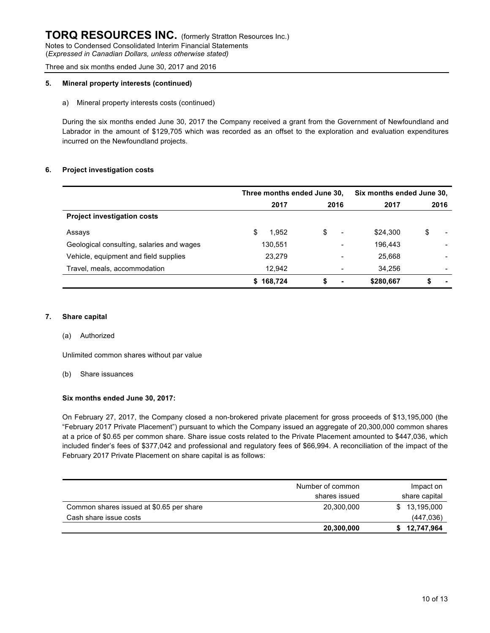#### **5. Mineral property interests (continued)**

#### a) Mineral property interests costs (continued)

During the six months ended June 30, 2017 the Company received a grant from the Government of Newfoundland and Labrador in the amount of \$129,705 which was recorded as an offset to the exploration and evaluation expenditures incurred on the Newfoundland projects.

#### **6. Project investigation costs**

|                                           | Three months ended June 30, |                                | Six months ended June 30, |                                |  |
|-------------------------------------------|-----------------------------|--------------------------------|---------------------------|--------------------------------|--|
|                                           | 2017                        | 2016                           | 2017                      | 2016                           |  |
| <b>Project investigation costs</b>        |                             |                                |                           |                                |  |
| Assays                                    | 1,952<br>S                  | \$<br>$\overline{\phantom{0}}$ | \$24,300                  | \$<br>$\overline{\phantom{a}}$ |  |
| Geological consulting, salaries and wages | 130,551                     | -                              | 196,443                   |                                |  |
| Vehicle, equipment and field supplies     | 23.279                      |                                | 25,668                    |                                |  |
| Travel, meals, accommodation              | 12.942                      |                                | 34.256                    | $\overline{\phantom{0}}$       |  |
|                                           | 168,724<br>S.               | \$<br>$\blacksquare$           | \$280,667                 | $\blacksquare$                 |  |

#### **7. Share capital**

#### (a) Authorized

Unlimited common shares without par value

#### (b) Share issuances

#### **Six months ended June 30, 2017:**

On February 27, 2017, the Company closed a non-brokered private placement for gross proceeds of \$13,195,000 (the "February 2017 Private Placement") pursuant to which the Company issued an aggregate of 20,300,000 common shares at a price of \$0.65 per common share. Share issue costs related to the Private Placement amounted to \$447,036, which included finder's fees of \$377,042 and professional and regulatory fees of \$66,994. A reconciliation of the impact of the February 2017 Private Placement on share capital is as follows:

|                                          | Number of common | Impact on<br>share capital |  |  |
|------------------------------------------|------------------|----------------------------|--|--|
|                                          | shares issued    |                            |  |  |
| Common shares issued at \$0.65 per share | 20,300,000       | 13,195,000<br>SS.          |  |  |
| Cash share issue costs                   |                  | (447, 036)                 |  |  |
|                                          | 20,300,000       | 12,747,964                 |  |  |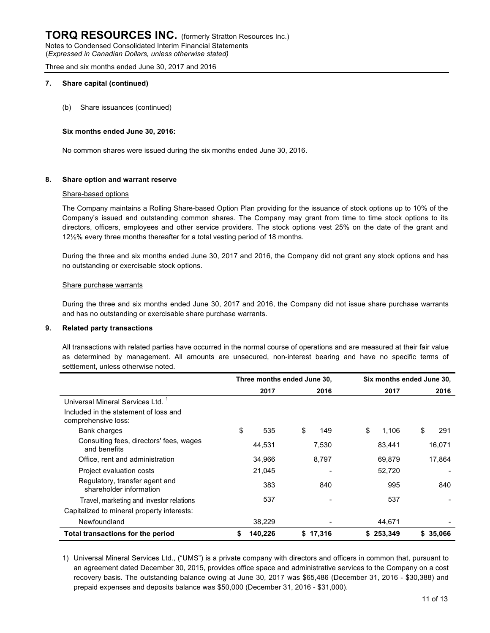#### **7. Share capital (continued)**

(b) Share issuances (continued)

#### **Six months ended June 30, 2016:**

No common shares were issued during the six months ended June 30, 2016.

#### **8. Share option and warrant reserve**

#### Share-based options

The Company maintains a Rolling Share-based Option Plan providing for the issuance of stock options up to 10% of the Company's issued and outstanding common shares. The Company may grant from time to time stock options to its directors, officers, employees and other service providers. The stock options vest 25% on the date of the grant and 12½% every three months thereafter for a total vesting period of 18 months.

During the three and six months ended June 30, 2017 and 2016, the Company did not grant any stock options and has no outstanding or exercisable stock options.

#### Share purchase warrants

During the three and six months ended June 30, 2017 and 2016, the Company did not issue share purchase warrants and has no outstanding or exercisable share purchase warrants.

#### **9. Related party transactions**

All transactions with related parties have occurred in the normal course of operations and are measured at their fair value as determined by management. All amounts are unsecured, non-interest bearing and have no specific terms of settlement, unless otherwise noted.

|                                                              | Three months ended June 30, |         |    | Six months ended June 30, |    |           |    |          |
|--------------------------------------------------------------|-----------------------------|---------|----|---------------------------|----|-----------|----|----------|
|                                                              |                             | 2017    |    | 2016                      |    | 2017      |    | 2016     |
| Universal Mineral Services Ltd. <sup>1</sup>                 |                             |         |    |                           |    |           |    |          |
| Included in the statement of loss and<br>comprehensive loss: |                             |         |    |                           |    |           |    |          |
| Bank charges                                                 | \$                          | 535     | \$ | 149                       | \$ | 1,106     | \$ | 291      |
| Consulting fees, directors' fees, wages<br>and benefits      |                             | 44,531  |    | 7,530                     |    | 83,441    |    | 16,071   |
| Office, rent and administration                              |                             | 34,966  |    | 8.797                     |    | 69.879    |    | 17,864   |
| Project evaluation costs                                     |                             | 21,045  |    |                           |    | 52,720    |    |          |
| Regulatory, transfer agent and<br>shareholder information    |                             | 383     |    | 840                       |    | 995       |    | 840      |
| Travel, marketing and investor relations                     |                             | 537     |    |                           |    | 537       |    |          |
| Capitalized to mineral property interests:                   |                             |         |    |                           |    |           |    |          |
| Newfoundland                                                 |                             | 38,229  |    |                           |    | 44,671    |    |          |
| <b>Total transactions for the period</b>                     | S                           | 140,226 |    | \$17,316                  |    | \$253,349 |    | \$35,066 |

1) Universal Mineral Services Ltd., ("UMS") is a private company with directors and officers in common that, pursuant to an agreement dated December 30, 2015, provides office space and administrative services to the Company on a cost recovery basis. The outstanding balance owing at June 30, 2017 was \$65,486 (December 31, 2016 - \$30,388) and prepaid expenses and deposits balance was \$50,000 (December 31, 2016 - \$31,000).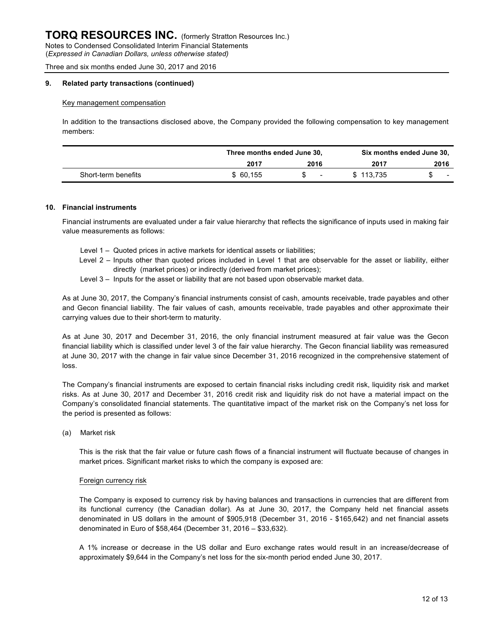#### **9. Related party transactions (continued)**

#### Key management compensation

In addition to the transactions disclosed above, the Company provided the following compensation to key management members:

|                     |          | Three months ended June 30, |           | Six months ended June 30, |
|---------------------|----------|-----------------------------|-----------|---------------------------|
|                     | 2017     | 2016                        | 2017      | 2016                      |
| Short-term benefits | \$60,155 | $\overline{\phantom{a}}$    | \$113.735 | $\overline{\phantom{0}}$  |

#### **10. Financial instruments**

Financial instruments are evaluated under a fair value hierarchy that reflects the significance of inputs used in making fair value measurements as follows:

- Level 1 Quoted prices in active markets for identical assets or liabilities;
- Level 2 Inputs other than quoted prices included in Level 1 that are observable for the asset or liability, either directly (market prices) or indirectly (derived from market prices);
- Level 3 Inputs for the asset or liability that are not based upon observable market data.

As at June 30, 2017, the Company's financial instruments consist of cash, amounts receivable, trade payables and other and Gecon financial liability. The fair values of cash, amounts receivable, trade payables and other approximate their carrying values due to their short-term to maturity.

As at June 30, 2017 and December 31, 2016, the only financial instrument measured at fair value was the Gecon financial liability which is classified under level 3 of the fair value hierarchy. The Gecon financial liability was remeasured at June 30, 2017 with the change in fair value since December 31, 2016 recognized in the comprehensive statement of loss.

The Company's financial instruments are exposed to certain financial risks including credit risk, liquidity risk and market risks. As at June 30, 2017 and December 31, 2016 credit risk and liquidity risk do not have a material impact on the Company's consolidated financial statements. The quantitative impact of the market risk on the Company's net loss for the period is presented as follows:

(a) Market risk

This is the risk that the fair value or future cash flows of a financial instrument will fluctuate because of changes in market prices. Significant market risks to which the company is exposed are:

#### Foreign currency risk

The Company is exposed to currency risk by having balances and transactions in currencies that are different from its functional currency (the Canadian dollar). As at June 30, 2017, the Company held net financial assets denominated in US dollars in the amount of \$905,918 (December 31, 2016 - \$165,642) and net financial assets denominated in Euro of \$58,464 (December 31, 2016 – \$33,632).

A 1% increase or decrease in the US dollar and Euro exchange rates would result in an increase/decrease of approximately \$9,644 in the Company's net loss for the six-month period ended June 30, 2017.